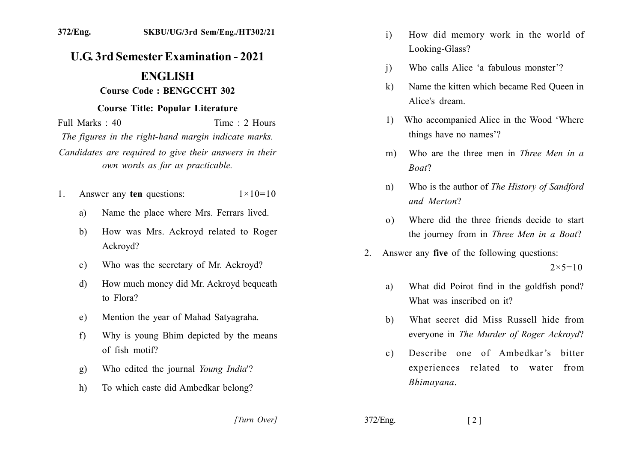## **U.G. 3rd Semester Examination - 2021**

## **ENGLISH**

## **Course Code: BENGCCHT 302**

## **Course Title: Popular Literature**

Time  $\cdot$  2 Hours Full Marks  $\cdot$  40 The figures in the right-hand margin indicate marks. Candidates are required to give their answers in their own words as far as practicable.

- Answer any ten questions:  $1 \times 10 = 10$  $1$ 
	- Name the place where Mrs. Ferrars lived.  $a)$
	- How was Mrs. Ackroyd related to Roger  $b)$ Ackroyd?
	- Who was the secretary of Mr. Ackroyd?  $c)$
	- How much money did Mr. Ackroyd bequeath  $\mathbf{d}$ to Flora?
	- Mention the year of Mahad Satyagraha. e)
	- Why is young Bhim depicted by the means  $f$ of fish motif?
	- Who edited the journal Young India<sup>'</sup>? g)
	- To which caste did Ambedkar belong?  $h)$
- $\mathbf{i}$ How did memory work in the world of Looking-Glass?
- Who calls Alice 'a fabulous monster'?  $\overline{1}$
- Name the kitten which became Red Oueen in  $k$ ) Alice's dream
- 1) Who accompanied Alice in the Wood 'Where things have no names'?
- Who are the three men in *Three Men in a*  $m$ ) Boat?
- Who is the author of The History of Sandford  $n)$ and Merton?
- Where did the three friends decide to start  $\Omega$ the journey from in Three Men in a Boat?
- Answer any five of the following questions:  $2<sup>1</sup>$

 $2 \times 5 = 10$ 

- What did Poirot find in the goldfish pond? a) What was inscribed on it?
- What secret did Miss Russell hide from  $h$ ) everyone in The Murder of Roger Ackroyd?
- Describe one of Ambedkar's bitter  $c)$ experiences related to water from Bhimayana.

[Turn Over]

 $372/Eng.$